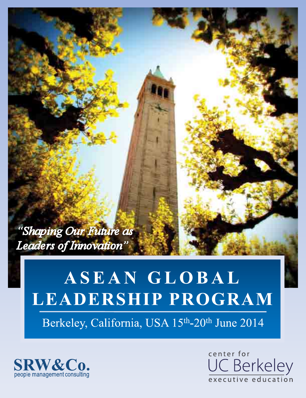"Shaping Our Future as Leaders of Innovation'

# ASEAN GLOBAL LEADERSHIP PROGRAM

Berkeley, California, USA 15th-20th June 2014



center for C Berkeley executive education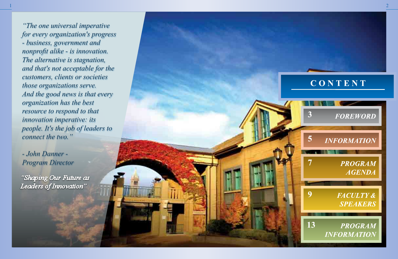1

"Shaping Our Future as Leaders of Innovation"

# CONTENT



*"The one universal imperative for every organization's progress - business, government and nonprofit alike - is innovation. The alternative is stagnation, and that's not acceptable for the customers, clients or societies those organizations serve. And the good news is that every organization has the best resource to respond to that innovation imperative: its people. It's the job of leaders to connect the two."*

*- John Danner - Program Director*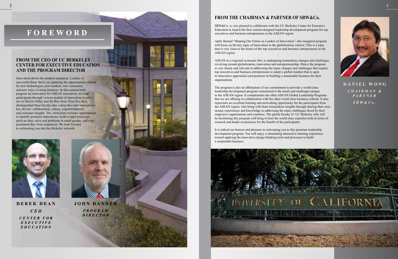

DANIEL WONG  $CHAIRMAN &$ **PARTNER**  $S R W & C \rho$ .

## **FROM THE CHAIRMAN & PARTNER OF SRW&Co.**

SRW&Co. is very pleased to collaborate with the UC Berkeley Center for Executive Education to launch the first custom-designed leadership development program for top executives and business entrepreneurs in the ASEAN region.

Aptly themed "Shaping Our Future as Leaders of Innovation", this inaugural program will focus on the key topic of Innovation in the globalization context. This is a topic that is very close to the hearts of the top executives and business entrepreneurs in the ASEAN region.

ASEAN as a regional economic bloc is undergoing tremendous changes and challenges revolving around globalization, innovation and entrepreneurship. Hence the program is very timely and relevant in addressing the many changes and challenges that require top executives and business entrepreneurs to adopt a global mindset that is open to innovative approaches and practices in building a sustainable business for their organisations.

The program is also an affirmation of our commitment to provide a world-class leadership development program customized to the needs and challenges unique to the ASEAN region. It complements the other ASEAN Global Leadership Programs that we are offering in collaboration with the other world class business schools. It also represents an excellent learning and networking opportunity for the participants from the ASEAN region, who bring with them tremendous insights through sharing their own unique experiences and knowledge in addressing the many challenges faced by their respective organizations and countries. The global faculty of UC Berkeley who will be facilitating this program will bring to bear the world class expertise both in terms of research and hands on practices for the benefit of the participants.

It is indeed our honour and pleasure in welcoming you to this premium leadership development program. You will enjoy a stimulating interactive learning experience toward applying the innovative design thinking tools and processes to build a sustainable business.



Innovation drives the modern enterprise. Leaders of successful firms thrive on capturing the opportunities created by new technologies, new markets, new customers, and new ways of doing business. In this custom-built program on innovation for ASEAN executives, we lead participants through various models of innovation in active use in Silicon Valley and the Bay Area. Over five days, distinguished Haas faculty take a deep dive into innovation's key drivers: collaboration, culture, experimentation, and customer insights. The curriculum includes opportunities to identify potential innovations, build a rapid prototype, pitch an idea, solve real problems in small groups, and visit prominent Bay Area companies. We look forward to welcoming you into the Berkeley network.



DEREK DEAN  $CEO$ **CENTER FOR** EXECUTIVE **EDUCATION** 



**JOHN DANNER** PROGRAM **DIRECTOR** 

# **FOREWORD**

## **FROM THE CEO OF UC BERKELEY CENTER FOR EXECUTIVE EDUCATION AND THE PROGRAM DIRECTOR**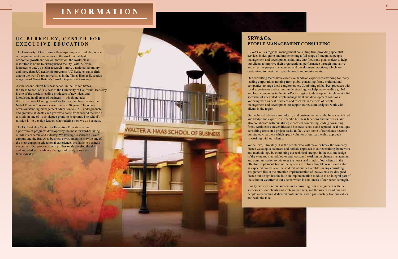# **INFORMATION**

WALTER A HAAS SCHOOL OF BUSINESS



6

# UC BERKELEY, CENTER FOR **EXECUTIVE EDUCATION**

The University of California's flagship campus at Berkeley is one of the preeminent universities in the world. A catalyst of economic growth and social innovation, the world-class institution is home to distinguished faculty (with 22 Nobel laureates to date), a stellar research library, a national laboratory and more than 350 academic programs. UC Berkeley ranks fifth among the world's top universities in the Times Higher Education magazine of Great Britain's "World Reputation Rankings."

As the second-oldest business school in the United States, the Haas School of Business at the University of California, Berkeley is one of the world's leading producers of new ideas and knowledge in all areas of business — which includes the distinction of having two of its faculty members receive the Nobel Prize in Economics over the past 20 years. The school offers outstanding management education to 2,200 undergraduate and graduate students each year who come from around the world to study in one of its six degree-granting programs. The school's mission is "to develop leaders who redefine how we do business."

The UC Berkeley Center for Executive Education offers a portfolio of programs developed by the most forward-thinking minds in academia and industry. We leverage resources all over campus and the Bay Area business environment to provide one of the most engaging educational experiences available to business executives. Our programs help professionals develop the skills and knowledge to embrace change and catalyze success in their industries.



SRW&Co. is a regional management consulting firm providing specialist services in designing and implementing a full range of integrated people management and development solutions. Our focus and goal is clear-to help our clients to improve their organizational performance through innovative and effective people management and development practices, which are customized to meet their specific needs and requirements.

Our consulting teams have extensive hands-on experiences working for many leading corporations ranging from global consulting firms, multinational companies, to large local conglomerates. Combining global best practices with local experiences and cultural understanding, we help many leading global and local companies in the Asia-Pacific region to develop and implement a full spectrum of integrated people management and development solutions. We bring with us best practices and research in the field of people management and development to support our custom designed work with clients in the region.

Our technical advisors are industry and business experts who have specialized knowledge and expertise in specific business functions and industries. We also collaborate with our strategic partners comprising leading consulting firms, world class universities and business schools and reputed local boutique consulting firms on a project basis. In fact, even some of our clients become our strategic partners which speak volumes of our partnership approach in working with our clients.

We believe, ultimately, it is the people who will make or break the company. Hence we adopt a balanced and holistic approach in our consulting framework and methodology by combining our technical strength in the custom design of the systems, methodologies and tools, and working on change management and communication to win over the hearts and minds of our clients in the effective implementation of the systems to deliver tangible results and value as expected. We believe the acid test of our deliverables in any consulting assignment lies in the effective implementation of the systems we designed. Hence our design has the built-in implementation module as an integral part of the solution we offer to our clients which is a hallmark of our bench-strength.

Finally, we measure our success as a consulting firm in alignment with the successes of our clients and strategic partners, and the successes of our own people in becoming dedicated professionals who passionately live our values and walk the talk.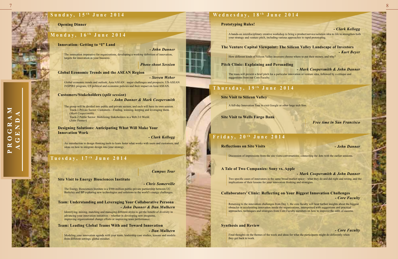$\boldsymbol{\Sigma}$ 

 $\approx$ 

 $\overline{C}$ 

 $\bigcirc$ 

 $\mathbf{\underline{\mathsf{K}}}$  $\Delta$ 

# Monday, 16<sup>th</sup> June 2014

#### **The Venture Capital Viewpoint: The Silicon Valley Landscape of Investors**

How different kinds of Silicon Valley investors choose where to put their money, and why?

#### **Pitch Clinic: Explaining and Persuading**

#### **Site Visit to Silicon Valley**

#### **Site Visit to Wells Fargo Bank**

# Friday, 20<sup>th</sup> June 2014

### **A Tale of Two Companies: Sony vs. Apple**

#### **Synthesis and Review**

#### **Innovation: Getting to "I" Land**

#### **Global Economic Trends and the ASEAN Region**

#### **Customers/Stakeholders (***split session***)**

**Designing Solutions: Anticipating What Will Make Your Innovation Work**

#### **Site Visit to Energy Biosciences Institute**

### **Collaborators' Clinic: Reflecting on Your Biggest Innovation Challenges** *- Core Faculty*

### **Team: Leading Global Teams With and Toward Innovation**

### **Team: Understanding and Leveraging Your Collaborative Persona** *- John Danner & Dan Mulhern*

#### *- Steven Weber*

*- John Danner & Mark Coopersmith*

#### *- Clark Kellogg*

#### *- Chris Somerville*

#### *- Dan Mulhern*

*Campus Tour*

*Photo shoot Session*

*- John Danner*

#### *- Clark Kellogg*

*- Kurt Beyer*

### *- Mark Coopersmith & John Danner*

### *Free time in San Francisco*

#### *- Mark Coopersmith & John Danner*

#### *- Core Faculty*

The innovation imperative for organizations, developing a working definition of innovation, targets for innovation in your business.

A hands-on interdisciplinary creative workshop to bring a product/service/solution idea to life to strengthen both your strategy and venture pitch, including various approaches to rapid prototyping.

The team will present a brief pitch for a particular innovation or venture idea, followed by a critique and suggestions from our Core Faculty.

## Thursday, 19<sup>th</sup> June 2014

A full-day Innovation Tour to visit Google or other large tech firm.

Two specific cases of innovators in the same broad market space – what they do and did right and wrong, and the implications of their lessons for your innovation thinking and strategies.

Returning to the innovation challenges from Day 1, the core faculty will hear further insights about the biggest obstacles in accelerating innovation inside the organizations, interspersed with suggestions and practical approaches, techniques and strategies from Core Faculty members on how to improve the odds of success.

Final thoughts on the themes of the week and ideas for what the participants might do differently when they get back to work.



Global economic trends and outlook; Asia/ASEAN : major challenges and prospects; US-ASEAN INSPIRE program; US political and economic policies and their impact on Asia/ASEAN.

An introduction to design thinking tools to learn faster what works with users and customers, and ideas on how to integrate design into your strategy.

# **Tuesday, 17<sup>th</sup> June 2014**

The Energy Biosciences Institute is a \$500-million public-private partnership between UC Berkeley and BP exploring new technologies and solutions to the world's energy challenges.

Modeling your innovation agenda with your team; leadership case studies; lessons and models from different settings; global mindset.

# Sunday,  $15$ <sup>th</sup> June 2014

### **Opening Dinner Prototyping Rules!**

Identifying, mixing, matching and managing different styles to get the benefit of diversity in advancing your innovation initiatives – whether in developing new programs, improving organizational change efforts or improving team performance.

- The group will be divided into public and private sectors, and each will have its own session. Track-1 Private Sector: Customers—Finding, winning, keeping and leveraging them.
	- (*Mark Coopersmith*)
- Track-2 Public Sector: Mobilizing Stakeholders in a Web 2.0 World. (*John Danner*)

#### **Reflections on Site Visits** *- John Danner*

Discussion of impressions from the site visits/conversations; connecting the dots with the earlier sessions.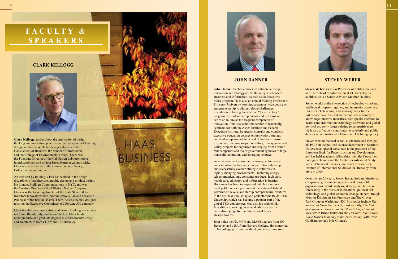**Clark Kellogg** teaches about the application of design thinking and innovation practice s to the disciplines of learning, design and business. He holds appointments in the Haas School of Business, the School of Information and the College of Environmental Design. Clark was the Founding Director of the Cal Design Lab, promoting interdisciplinary and project-based learning campus-wide. Clark is also a Partner in the innovation consultancy, Collective Invention, Inc.

An architect by training, Clark has worked in the design disciplines of architecture, graphic design and product design. He founded Kellogg Communications in NYC, and was the Creative Director of the 130-store Nature Company. Clark was the founding director of the State Street Global Investors Innovation and Communications Lab and became a Principal of the firm in Boston. There, he was the first designer to sit on the Executive Committee of a Fortune 500 company.

Clark has delivered innovation and design thinking workshops in China, Brazil, Italy, and across the US. Clark holds undergraduate and graduate degrees in environmental design and architecture from CCNY and UC Berkeley.





# FACULTY & SPEAKERS

## **CLARK KELLOGG**



## **JOHN DANNER STEVEN WEBER**

**John Danner** teaches courses on entrepreneurship, innovation and strategy at UC Berkeley's Schools of Business and Information, as well as the Executive MBA program. He is also an annual Visiting Professor at Princeton University, teaching a campus-wide course on entrepreneurship to address global challenges, in addition to having launched an "Ideas Factory" program for student entrepreneurs and a discussion series on failure as the frequent companion of innovation. John is a senior moderator of leadership seminars for both the Aspen Institute and Federal Executive Institute, he speaks, consults and conducts executive education courses on innovation, strategy and leadership around the world. John has extensive experience directing major consulting, management and policy projects for organizations ranging from Fortune 500 companies and major government agencies to large nonprofit institutions and emerging ventures.

As a management consultant, attorney, entrepreneur and executive, he has helped organizations develop and successfully execute strategic initiatives in rapidly changing environments - including energy, telecommunications, consumer products, high tech, health care, education and information industries. His career has been interspersed with both seniorlevel public service positions at the state and federal government levels, and startup entrepreneurial ventures in the business publishing and philanthropic fields. TED University, which has become a popular part of the global TED conferences, was also his brainchild. In addition to serving on several advisory boards, he is also a judge for the international Spark Design Awards.

John holds the JD, MPH and MAEd degrees from UC Berkeley and a BA from Harvard College. He is married to his college girlfriend, with whom he has three sons.



**Steven Weber** serves as Professor of Political Science and The School of Information at UC Berkeley. In addition, he is a Senior Advisor , Monitor Deloitte.

Steven works at the intersection of technology markets, intellectual property regimes, and international politics. His research, teaching, and advisory work for the last decade have focused on the political economy of knowledge intensive industries, with special attention to health care, information technology, software, and global political economy issues relating to competitiveness. He is also a frequent contributor to scholarly and public debates on international relations and US foreign policy.

Steven went to medical school at Stanford and then got his Ph.D. in the political science department at Stanford. He served as special consultant to the president of the European Bank for Reconstruction and Development and has held academic fellowships with the Council on Foreign Relations and the Center for Advanced Study in the Behavioral Sciences, and was Director of the Institute of International Studies at UC Berkeley from 2003 to 2009.

Over the last 20 years, Steven has advised multinational companies, government agencies, and non-profit organizations on risk analysis, strategy, and business forecasting in the areas of international political risk, technology, and global economic change, in part through Monitor Deloitte in San Francisco and The Glover Park Group in Washington DC. His books include *The Success of Open Source* and, most recently, *The End of Arrogance: America in the Global Competition of Ideas* (with Bruce Jentleson) and *Deviant Globalization: Black Market Economy in the 21st Century* (with Jesse Goldhammer and Nils Gilman).

.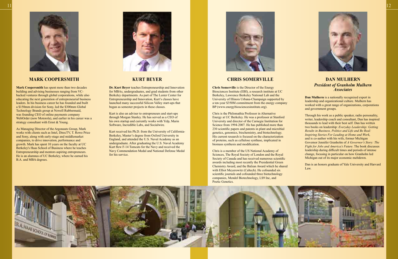

**Mark Coopersmith** has spent more than two decades building and advising businesses ranging from VCbacked ventures through global corporations, while also educating the next generation of entrepreneurial business leaders. In his business career he has founded and built a \$150mm division for Sony, led the \$300mm Global Technology Brands group at Newell Rubbermaid, was founding CEO of online payments company WebOrder (now Motorola), and earlier in his career was a strategy consultant with Ernst & Young.

As Managing Director of the Argonauts Group, Mark works with clients such as Intel, DirecTV, T. Rowe Price and Sony, along with early-stage and middlemarket companies, to drive innovation, performance and growth. Mark has spent 10 years on the faculty at UC Berkeley's Haas School of Business where he teaches Entrepreneurship and mentors aspiring entrepreneurs. He is an alumnus of UC Berkeley, where he earned his B.A. and MBA degrees.



Chris is a member of the US National Academy of Sciences, The Royal Society of London and the Royal Society of Canada and has received numerous scientific awards including most recently the Presidential Green Chemistry Award, and the Balzan Award which he shared with Elliot Meyerowitz (Caltech). He cofounded six scientific journals and cofounded three biotechnology companies, Mendel Biotechnology, LS9 Inc, and Poetic Genetics.

**Chris Somerville** is the Director of the Energy Biosciences Institute (EBI), a research institute at UC Berkeley, Lawrence Berkeley National Lab and the University of Illinois Urbana-Champaign supported by a ten-year \$350M commitment from the energy company BP (www.energybiosciencesinstitute.org).

Chris is the Philomathia Professor in Alternative Energy at UC Berkeley. He was a professor at Stanford University and director of the Carnegie Institution for Science from 1994-2007. He has published more than 230 scientific papers and patents in plant and microbial genetics, genomics, biochemistry, and biotechnology. His current research is focused on the characterization of proteins, such as cellulose synthase, implicated in biomass synthesis and modification.





**Dan Mulhern** is a nationally recognized expert in leadership and organizational culture. Mulhern has worked with a great range of organizations, corporations and government groups.

Through his work as a public speaker, radio personality, writer, leadership coach and consultant, Dan has inspired thousands to lead with their best self. Dan has written two books on leadership: *Everyday Leadership: Getting Results in Business, Politics and Life and Be Real: Inspiring Stories For Leading at Home and Work*, and is co-author with his wife, former Michigan Governor Jennifer Granholm of *A Governor's Story: The Fight for Jobs and America's Future*. The book discusses leadership during difficult times and periods of intense change, focusing in particular on how Granholm led Michigan out of its major economic meltdown.

Dan is an honors graduate of Yale University and Harvard Law.

**Dr. Kurt Beyer** teaches Entrepreneurship and Innovation for MBAs, undergraduates, and grad students from other Berkeley departments. As part of The Lester Center for Entrepreneurship and Innovation, Kurt's classes have launched many successful Silicon Valley start-ups that began as semester projects in these classes.

Kurt is also an adviser to entrepreneurs and start-ups through Morgan Stanley. He has served as a CEO of his own startup and currently works with Yelp, Marin Software, Incredible Labs, and Socialwire.

Kurt received his Ph.D. from the University of California-Berkeley, Master's degree from Oxford University in England, and attended the U.S. Naval Academy as an undergraduate. After graduating the U.S. Naval Academy Kurt flew F-14 Tomcats for the Navy and received the Navy Commendation Medal and National Defense Medal for his service.



## **MARK COOPERSMITH CHRIS SOMERVILLE DAN MULHERN** *President of Granholm Mulhern Associates*

## **KURT BEYER**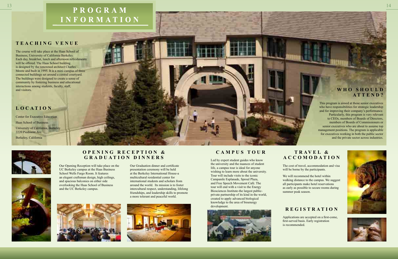The course will take place at the Haas School of Business, University of California Berkeley. Each day, breakfast, lunch and afternoon refreshments will be offered. The Haas School building is designed by the renowned architect Charles Moore and built in 1995. It is a mini-campus of three connected buildings set around a central courtyard. The buildings were designed to create a sense of community by fostering business and educational interactions among students, faculty, staff, and visitors.

> Our Opening Reception will take place on the UC Berkeley campus at the Haas Business School Wells Fargo Room. It features an elegant craftsman design, high ceilings, and spacious balconies on either side overlooking the Haas School of Business and the UC Berkeley campus.



Led by expert student guides who know the university and the nuances of student life, a campus tour is ideal for anyone wishing to learn more about the university. Tour will include visits to the iconic Campanile Esplanade, Sproul Plaza, and Free Speech Movement Café. The tour will end with a visit to the Energy Biosciences Institute-the largest publicprivate partnership of its kind in the world, created to apply advanced biological knowledge to the area of bioenergy development.



The cost of travel, accommodation and visa will be borne by the participants.

We will recommend the hotel within walking distance to the campus. We suggest all participants make hotel reservations as early as possible to secure rooms during summer peak season.

This program is aimed at those senior executives who have responsibilities for strategic leadership and for improving their company's performance. Particularly, this program is very relevant to CEOs, members of Boards of Directors, members of Boards of Commissioners or senior executives who are about to assume top management positions. The program is applicable for executives working in both the public sector and the private sector across industries.

Applications are accepted on a first-come, first-served basis. Early registration is recommended.

Our Graduation dinner and certificate presentation ceremony will be held at the Berkeley International House-a multicultural residential center for international students and scholars from around the world. Its mission is to foster intercultural respect, understanding, lifelong friendships, and leadership skills to promote a more tolerant and peaceful world.



# 13 and  $\blacksquare$  . The state of  $\blacksquare$  is the state of  $\blacksquare$  is the state of  $\blacksquare$ **INFORMATION**

# **TEACHING VENUE**

Center for Executive Education Haas School of Business University of California, Berkeley 2220 Piedmont Ave. Berkeley, California





# **LOCATION**

# **OPENING RECEPTION & GRADUATION DINNERS**

# **CAMPUS TOUR T R A V E L &**

# **ACCOMODATION**

## **W H O S H O U L D ATTEND?**

# **REGISTRATION**